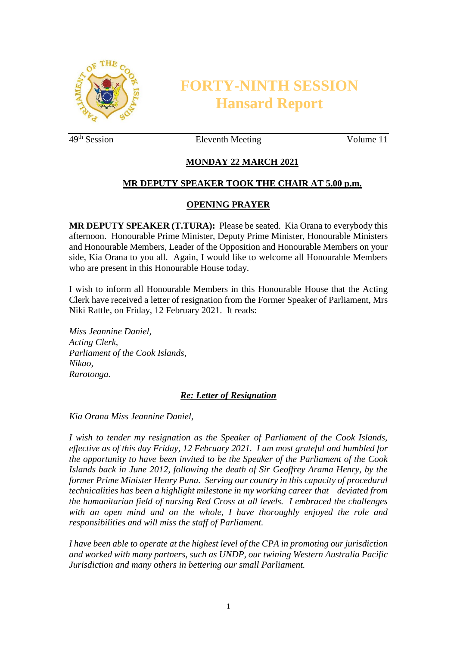

# **FORTY-NINTH SESSION Hansard Report**

49<sup>th</sup> Session Eleventh Meeting Volume 11

# **MONDAY 22 MARCH 2021**

# **MR DEPUTY SPEAKER TOOK THE CHAIR AT 5.00 p.m.**

# **OPENING PRAYER**

**MR DEPUTY SPEAKER (T.TURA):** Please be seated. Kia Orana to everybody this afternoon. Honourable Prime Minister, Deputy Prime Minister, Honourable Ministers and Honourable Members, Leader of the Opposition and Honourable Members on your side, Kia Orana to you all. Again, I would like to welcome all Honourable Members who are present in this Honourable House today.

I wish to inform all Honourable Members in this Honourable House that the Acting Clerk have received a letter of resignation from the Former Speaker of Parliament, Mrs Niki Rattle, on Friday, 12 February 2021. It reads:

*Miss Jeannine Daniel, Acting Clerk, Parliament of the Cook Islands, Nikao, Rarotonga.* 

#### *Re: Letter of Resignation*

*Kia Orana Miss Jeannine Daniel,* 

*I wish to tender my resignation as the Speaker of Parliament of the Cook Islands, effective as of this day Friday, 12 February 2021. I am most grateful and humbled for the opportunity to have been invited to be the Speaker of the Parliament of the Cook Islands back in June 2012, following the death of Sir Geoffrey Arama Henry, by the former Prime Minister Henry Puna. Serving our country in this capacity of procedural technicalities has been a highlight milestone in my working career that deviated from the humanitarian field of nursing Red Cross at all levels. I embraced the challenges with an open mind and on the whole, I have thoroughly enjoyed the role and responsibilities and will miss the staff of Parliament.*

*I have been able to operate at the highest level of the CPA in promoting our jurisdiction and worked with many partners, such as UNDP, our twining Western Australia Pacific Jurisdiction and many others in bettering our small Parliament.*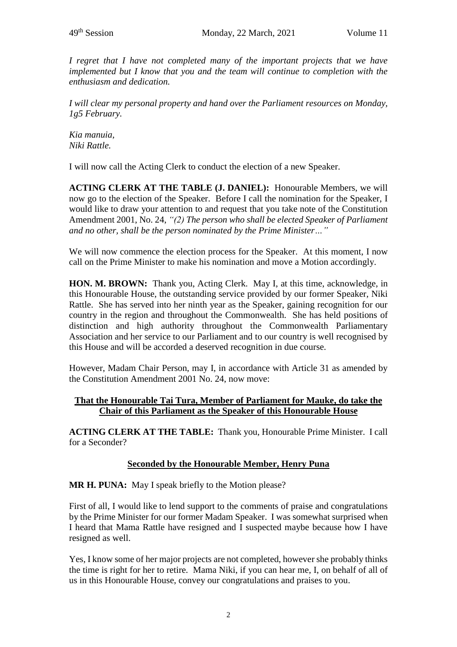*I regret that I have not completed many of the important projects that we have implemented but I know that you and the team will continue to completion with the enthusiasm and dedication.*

*I will clear my personal property and hand over the Parliament resources on Monday, 1g5 February.* 

*Kia manuia, Niki Rattle.*

I will now call the Acting Clerk to conduct the election of a new Speaker.

**ACTING CLERK AT THE TABLE (J. DANIEL):** Honourable Members, we will now go to the election of the Speaker. Before I call the nomination for the Speaker, I would like to draw your attention to and request that you take note of the Constitution Amendment 2001, No. 24, *"(2) The person who shall be elected Speaker of Parliament and no other, shall be the person nominated by the Prime Minister…"*

We will now commence the election process for the Speaker. At this moment, I now call on the Prime Minister to make his nomination and move a Motion accordingly.

**HON. M. BROWN:** Thank you, Acting Clerk. May I, at this time, acknowledge, in this Honourable House, the outstanding service provided by our former Speaker, Niki Rattle. She has served into her ninth year as the Speaker, gaining recognition for our country in the region and throughout the Commonwealth. She has held positions of distinction and high authority throughout the Commonwealth Parliamentary Association and her service to our Parliament and to our country is well recognised by this House and will be accorded a deserved recognition in due course.

However, Madam Chair Person, may I, in accordance with Article 31 as amended by the Constitution Amendment 2001 No. 24, now move:

#### **That the Honourable Tai Tura, Member of Parliament for Mauke, do take the Chair of this Parliament as the Speaker of this Honourable House**

**ACTING CLERK AT THE TABLE:** Thank you, Honourable Prime Minister. I call for a Seconder?

# **Seconded by the Honourable Member, Henry Puna**

**MR H. PUNA:** May I speak briefly to the Motion please?

First of all, I would like to lend support to the comments of praise and congratulations by the Prime Minister for our former Madam Speaker. I was somewhat surprised when I heard that Mama Rattle have resigned and I suspected maybe because how I have resigned as well.

Yes, I know some of her major projects are not completed, however she probably thinks the time is right for her to retire. Mama Niki, if you can hear me, I, on behalf of all of us in this Honourable House, convey our congratulations and praises to you.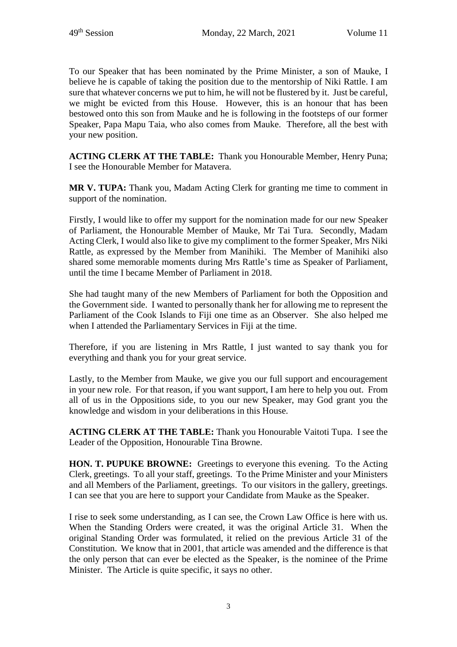To our Speaker that has been nominated by the Prime Minister, a son of Mauke, I believe he is capable of taking the position due to the mentorship of Niki Rattle. I am sure that whatever concerns we put to him, he will not be flustered by it. Just be careful, we might be evicted from this House. However, this is an honour that has been bestowed onto this son from Mauke and he is following in the footsteps of our former Speaker, Papa Mapu Taia, who also comes from Mauke. Therefore, all the best with your new position.

**ACTING CLERK AT THE TABLE:** Thank you Honourable Member, Henry Puna; I see the Honourable Member for Matavera.

**MR V. TUPA:** Thank you, Madam Acting Clerk for granting me time to comment in support of the nomination.

Firstly, I would like to offer my support for the nomination made for our new Speaker of Parliament, the Honourable Member of Mauke, Mr Tai Tura. Secondly, Madam Acting Clerk, I would also like to give my compliment to the former Speaker, Mrs Niki Rattle, as expressed by the Member from Manihiki. The Member of Manihiki also shared some memorable moments during Mrs Rattle's time as Speaker of Parliament, until the time I became Member of Parliament in 2018.

She had taught many of the new Members of Parliament for both the Opposition and the Government side. I wanted to personally thank her for allowing me to represent the Parliament of the Cook Islands to Fiji one time as an Observer. She also helped me when I attended the Parliamentary Services in Fiji at the time.

Therefore, if you are listening in Mrs Rattle, I just wanted to say thank you for everything and thank you for your great service.

Lastly, to the Member from Mauke, we give you our full support and encouragement in your new role. For that reason, if you want support, I am here to help you out. From all of us in the Oppositions side, to you our new Speaker, may God grant you the knowledge and wisdom in your deliberations in this House.

**ACTING CLERK AT THE TABLE:** Thank you Honourable Vaitoti Tupa. I see the Leader of the Opposition, Honourable Tina Browne.

**HON. T. PUPUKE BROWNE:** Greetings to everyone this evening. To the Acting Clerk, greetings. To all your staff, greetings. To the Prime Minister and your Ministers and all Members of the Parliament, greetings. To our visitors in the gallery, greetings. I can see that you are here to support your Candidate from Mauke as the Speaker.

I rise to seek some understanding, as I can see, the Crown Law Office is here with us. When the Standing Orders were created, it was the original Article 31. When the original Standing Order was formulated, it relied on the previous Article 31 of the Constitution. We know that in 2001, that article was amended and the difference is that the only person that can ever be elected as the Speaker, is the nominee of the Prime Minister. The Article is quite specific, it says no other.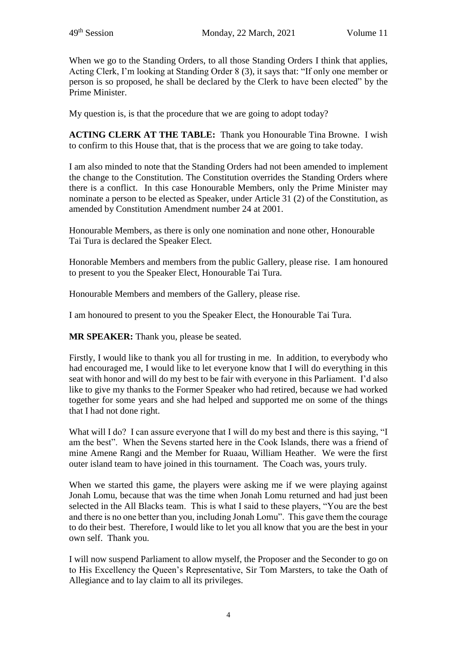When we go to the Standing Orders, to all those Standing Orders I think that applies, Acting Clerk, I'm looking at Standing Order 8 (3), it says that: "If only one member or person is so proposed, he shall be declared by the Clerk to have been elected" by the Prime Minister.

My question is, is that the procedure that we are going to adopt today?

**ACTING CLERK AT THE TABLE:** Thank you Honourable Tina Browne. I wish to confirm to this House that, that is the process that we are going to take today.

I am also minded to note that the Standing Orders had not been amended to implement the change to the Constitution. The Constitution overrides the Standing Orders where there is a conflict. In this case Honourable Members, only the Prime Minister may nominate a person to be elected as Speaker, under Article 31 (2) of the Constitution, as amended by Constitution Amendment number 24 at 2001.

Honourable Members, as there is only one nomination and none other, Honourable Tai Tura is declared the Speaker Elect.

Honorable Members and members from the public Gallery, please rise. I am honoured to present to you the Speaker Elect, Honourable Tai Tura.

Honourable Members and members of the Gallery, please rise.

I am honoured to present to you the Speaker Elect, the Honourable Tai Tura.

**MR SPEAKER:** Thank you, please be seated.

Firstly, I would like to thank you all for trusting in me. In addition, to everybody who had encouraged me, I would like to let everyone know that I will do everything in this seat with honor and will do my best to be fair with everyone in this Parliament. I'd also like to give my thanks to the Former Speaker who had retired, because we had worked together for some years and she had helped and supported me on some of the things that I had not done right.

What will I do? I can assure everyone that I will do my best and there is this saying, "I am the best". When the Sevens started here in the Cook Islands, there was a friend of mine Amene Rangi and the Member for Ruaau, William Heather. We were the first outer island team to have joined in this tournament. The Coach was, yours truly.

When we started this game, the players were asking me if we were playing against Jonah Lomu, because that was the time when Jonah Lomu returned and had just been selected in the All Blacks team. This is what I said to these players, "You are the best and there is no one better than you, including Jonah Lomu". This gave them the courage to do their best. Therefore, I would like to let you all know that you are the best in your own self. Thank you.

I will now suspend Parliament to allow myself, the Proposer and the Seconder to go on to His Excellency the Queen's Representative, Sir Tom Marsters, to take the Oath of Allegiance and to lay claim to all its privileges.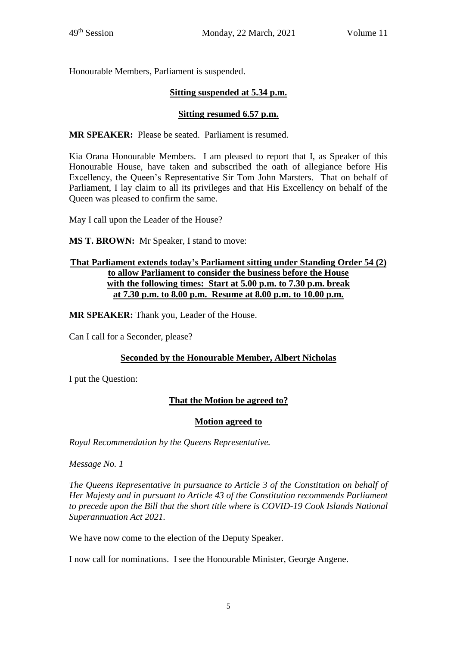Honourable Members, Parliament is suspended.

# **Sitting suspended at 5.34 p.m.**

# **Sitting resumed 6.57 p.m.**

**MR SPEAKER:** Please be seated. Parliament is resumed.

Kia Orana Honourable Members. I am pleased to report that I, as Speaker of this Honourable House, have taken and subscribed the oath of allegiance before His Excellency, the Queen's Representative Sir Tom John Marsters. That on behalf of Parliament, I lay claim to all its privileges and that His Excellency on behalf of the Queen was pleased to confirm the same.

May I call upon the Leader of the House?

**MS T. BROWN:** Mr Speaker, I stand to move:

#### **That Parliament extends today's Parliament sitting under Standing Order 54 (2) to allow Parliament to consider the business before the House with the following times: Start at 5.00 p.m. to 7.30 p.m. break at 7.30 p.m. to 8.00 p.m. Resume at 8.00 p.m. to 10.00 p.m.**

**MR SPEAKER:** Thank you, Leader of the House.

Can I call for a Seconder, please?

#### **Seconded by the Honourable Member, Albert Nicholas**

I put the Question:

# **That the Motion be agreed to?**

#### **Motion agreed to**

*Royal Recommendation by the Queens Representative.*

*Message No. 1*

*The Queens Representative in pursuance to Article 3 of the Constitution on behalf of Her Majesty and in pursuant to Article 43 of the Constitution recommends Parliament to precede upon the Bill that the short title where is COVID-19 Cook Islands National Superannuation Act 2021.* 

We have now come to the election of the Deputy Speaker.

I now call for nominations. I see the Honourable Minister, George Angene.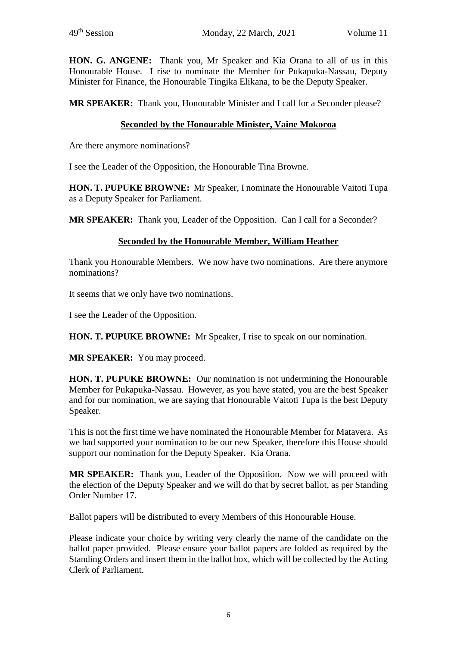**HON. G. ANGENE:** Thank you, Mr Speaker and Kia Orana to all of us in this Honourable House. I rise to nominate the Member for Pukapuka-Nassau, Deputy Minister for Finance, the Honourable Tingika Elikana, to be the Deputy Speaker.

**MR SPEAKER:** Thank you, Honourable Minister and I call for a Seconder please?

# **Seconded by the Honourable Minister, Vaine Mokoroa**

Are there anymore nominations?

I see the Leader of the Opposition, the Honourable Tina Browne.

**HON. T. PUPUKE BROWNE:** Mr Speaker, I nominate the Honourable Vaitoti Tupa as a Deputy Speaker for Parliament.

**MR SPEAKER:** Thank you, Leader of the Opposition. Can I call for a Seconder?

# **Seconded by the Honourable Member, William Heather**

Thank you Honourable Members. We now have two nominations. Are there anymore nominations?

It seems that we only have two nominations.

I see the Leader of the Opposition.

**HON. T. PUPUKE BROWNE:** Mr Speaker, I rise to speak on our nomination.

**MR SPEAKER:** You may proceed.

**HON. T. PUPUKE BROWNE:** Our nomination is not undermining the Honourable Member for Pukapuka-Nassau. However, as you have stated, you are the best Speaker and for our nomination, we are saying that Honourable Vaitoti Tupa is the best Deputy Speaker.

This is not the first time we have nominated the Honourable Member for Matavera. As we had supported your nomination to be our new Speaker, therefore this House should support our nomination for the Deputy Speaker. Kia Orana.

**MR SPEAKER:** Thank you, Leader of the Opposition. Now we will proceed with the election of the Deputy Speaker and we will do that by secret ballot, as per Standing Order Number 17.

Ballot papers will be distributed to every Members of this Honourable House.

Please indicate your choice by writing very clearly the name of the candidate on the ballot paper provided. Please ensure your ballot papers are folded as required by the Standing Orders and insert them in the ballot box, which will be collected by the Acting Clerk of Parliament.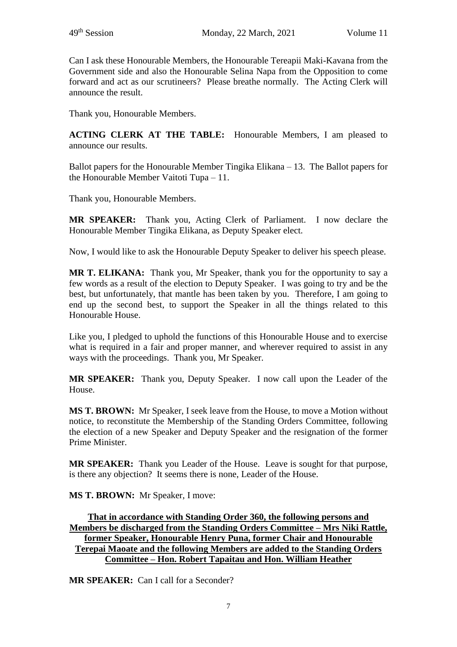Can I ask these Honourable Members, the Honourable Tereapii Maki-Kavana from the Government side and also the Honourable Selina Napa from the Opposition to come forward and act as our scrutineers? Please breathe normally. The Acting Clerk will announce the result.

Thank you, Honourable Members.

**ACTING CLERK AT THE TABLE:** Honourable Members, I am pleased to announce our results.

Ballot papers for the Honourable Member Tingika Elikana – 13. The Ballot papers for the Honourable Member Vaitoti Tupa – 11.

Thank you, Honourable Members.

**MR SPEAKER:** Thank you, Acting Clerk of Parliament. I now declare the Honourable Member Tingika Elikana, as Deputy Speaker elect.

Now, I would like to ask the Honourable Deputy Speaker to deliver his speech please.

**MR T. ELIKANA:** Thank you, Mr Speaker, thank you for the opportunity to say a few words as a result of the election to Deputy Speaker. I was going to try and be the best, but unfortunately, that mantle has been taken by you. Therefore, I am going to end up the second best, to support the Speaker in all the things related to this Honourable House.

Like you, I pledged to uphold the functions of this Honourable House and to exercise what is required in a fair and proper manner, and wherever required to assist in any ways with the proceedings. Thank you, Mr Speaker.

**MR SPEAKER:** Thank you, Deputy Speaker. I now call upon the Leader of the House.

**MS T. BROWN:** Mr Speaker, I seek leave from the House, to move a Motion without notice, to reconstitute the Membership of the Standing Orders Committee, following the election of a new Speaker and Deputy Speaker and the resignation of the former Prime Minister.

**MR SPEAKER:** Thank you Leader of the House. Leave is sought for that purpose, is there any objection? It seems there is none, Leader of the House.

**MS T. BROWN:** Mr Speaker, I move:

#### **That in accordance with Standing Order 360, the following persons and Members be discharged from the Standing Orders Committee – Mrs Niki Rattle, former Speaker, Honourable Henry Puna, former Chair and Honourable Terepai Maoate and the following Members are added to the Standing Orders Committee – Hon. Robert Tapaitau and Hon. William Heather**

**MR SPEAKER:** Can Leall for a Seconder?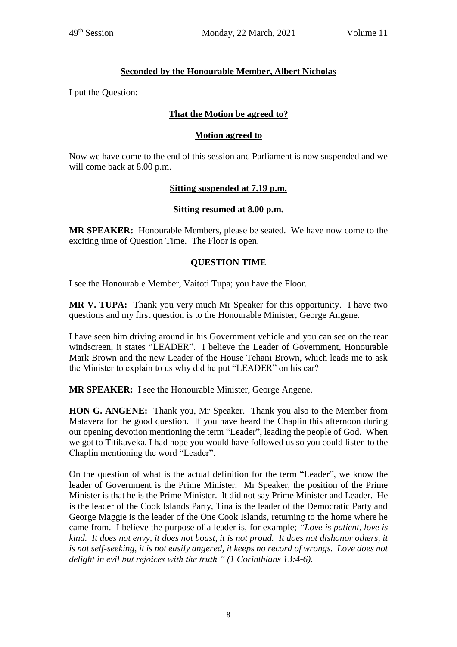# **Seconded by the Honourable Member, Albert Nicholas**

I put the Question:

# **That the Motion be agreed to?**

#### **Motion agreed to**

Now we have come to the end of this session and Parliament is now suspended and we will come back at 8.00 p.m.

#### **Sitting suspended at 7.19 p.m.**

#### **Sitting resumed at 8.00 p.m.**

**MR SPEAKER:** Honourable Members, please be seated. We have now come to the exciting time of Question Time. The Floor is open.

#### **QUESTION TIME**

I see the Honourable Member, Vaitoti Tupa; you have the Floor.

**MR V. TUPA:** Thank you very much Mr Speaker for this opportunity. I have two questions and my first question is to the Honourable Minister, George Angene.

I have seen him driving around in his Government vehicle and you can see on the rear windscreen, it states "LEADER". I believe the Leader of Government, Honourable Mark Brown and the new Leader of the House Tehani Brown, which leads me to ask the Minister to explain to us why did he put "LEADER" on his car?

**MR SPEAKER:** I see the Honourable Minister, George Angene.

**HON G. ANGENE:** Thank you, Mr Speaker. Thank you also to the Member from Matavera for the good question. If you have heard the Chaplin this afternoon during our opening devotion mentioning the term "Leader", leading the people of God. When we got to Titikaveka, I had hope you would have followed us so you could listen to the Chaplin mentioning the word "Leader".

On the question of what is the actual definition for the term "Leader", we know the leader of Government is the Prime Minister. Mr Speaker, the position of the Prime Minister is that he is the Prime Minister. It did not say Prime Minister and Leader. He is the leader of the Cook Islands Party, Tina is the leader of the Democratic Party and George Maggie is the leader of the One Cook Islands, returning to the home where he came from. I believe the purpose of a leader is, for example; *"Love is patient, love is kind. It does not envy, it does not boast, it is not proud. It does not dishonor others, it is not self-seeking, it is not easily angered, it keeps no record of wrongs. Love does not delight in evil but rejoices with the truth." (1 Corinthians 13:4-6).*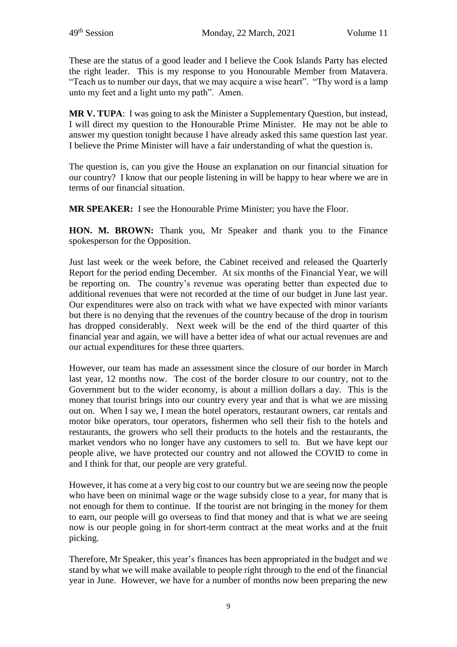These are the status of a good leader and I believe the Cook Islands Party has elected the right leader. This is my response to you Honourable Member from Matavera. "Teach us to number our days, that we may acquire a wise heart". "Thy word is a lamp unto my feet and a light unto my path". Amen.

**MR V. TUPA**: I was going to ask the Minister a Supplementary Question, but instead, I will direct my question to the Honourable Prime Minister. He may not be able to answer my question tonight because I have already asked this same question last year. I believe the Prime Minister will have a fair understanding of what the question is.

The question is, can you give the House an explanation on our financial situation for our country? I know that our people listening in will be happy to hear where we are in terms of our financial situation.

**MR SPEAKER:** I see the Honourable Prime Minister; you have the Floor.

**HON. M. BROWN:** Thank you, Mr Speaker and thank you to the Finance spokesperson for the Opposition.

Just last week or the week before, the Cabinet received and released the Quarterly Report for the period ending December. At six months of the Financial Year, we will be reporting on. The country's revenue was operating better than expected due to additional revenues that were not recorded at the time of our budget in June last year. Our expenditures were also on track with what we have expected with minor variants but there is no denying that the revenues of the country because of the drop in tourism has dropped considerably. Next week will be the end of the third quarter of this financial year and again, we will have a better idea of what our actual revenues are and our actual expenditures for these three quarters.

However, our team has made an assessment since the closure of our border in March last year, 12 months now. The cost of the border closure to our country, not to the Government but to the wider economy, is about a million dollars a day. This is the money that tourist brings into our country every year and that is what we are missing out on. When I say we, I mean the hotel operators, restaurant owners, car rentals and motor bike operators, tour operators, fishermen who sell their fish to the hotels and restaurants, the growers who sell their products to the hotels and the restaurants, the market vendors who no longer have any customers to sell to. But we have kept our people alive, we have protected our country and not allowed the COVID to come in and I think for that, our people are very grateful.

However, it has come at a very big cost to our country but we are seeing now the people who have been on minimal wage or the wage subsidy close to a year, for many that is not enough for them to continue. If the tourist are not bringing in the money for them to earn, our people will go overseas to find that money and that is what we are seeing now is our people going in for short-term contract at the meat works and at the fruit picking.

Therefore, Mr Speaker, this year's finances has been appropriated in the budget and we stand by what we will make available to people right through to the end of the financial year in June. However, we have for a number of months now been preparing the new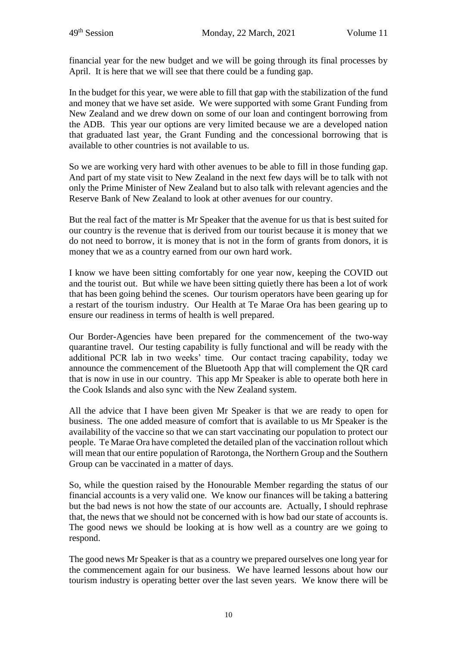financial year for the new budget and we will be going through its final processes by April. It is here that we will see that there could be a funding gap.

In the budget for this year, we were able to fill that gap with the stabilization of the fund and money that we have set aside. We were supported with some Grant Funding from New Zealand and we drew down on some of our loan and contingent borrowing from the ADB. This year our options are very limited because we are a developed nation that graduated last year, the Grant Funding and the concessional borrowing that is available to other countries is not available to us.

So we are working very hard with other avenues to be able to fill in those funding gap. And part of my state visit to New Zealand in the next few days will be to talk with not only the Prime Minister of New Zealand but to also talk with relevant agencies and the Reserve Bank of New Zealand to look at other avenues for our country.

But the real fact of the matter is Mr Speaker that the avenue for us that is best suited for our country is the revenue that is derived from our tourist because it is money that we do not need to borrow, it is money that is not in the form of grants from donors, it is money that we as a country earned from our own hard work.

I know we have been sitting comfortably for one year now, keeping the COVID out and the tourist out. But while we have been sitting quietly there has been a lot of work that has been going behind the scenes. Our tourism operators have been gearing up for a restart of the tourism industry. Our Health at Te Marae Ora has been gearing up to ensure our readiness in terms of health is well prepared.

Our Border-Agencies have been prepared for the commencement of the two-way quarantine travel. Our testing capability is fully functional and will be ready with the additional PCR lab in two weeks' time. Our contact tracing capability, today we announce the commencement of the Bluetooth App that will complement the QR card that is now in use in our country. This app Mr Speaker is able to operate both here in the Cook Islands and also sync with the New Zealand system.

All the advice that I have been given Mr Speaker is that we are ready to open for business. The one added measure of comfort that is available to us Mr Speaker is the availability of the vaccine so that we can start vaccinating our population to protect our people. Te Marae Ora have completed the detailed plan of the vaccination rollout which will mean that our entire population of Rarotonga, the Northern Group and the Southern Group can be vaccinated in a matter of days.

So, while the question raised by the Honourable Member regarding the status of our financial accounts is a very valid one. We know our finances will be taking a battering but the bad news is not how the state of our accounts are. Actually, I should rephrase that, the news that we should not be concerned with is how bad our state of accounts is. The good news we should be looking at is how well as a country are we going to respond.

The good news Mr Speaker is that as a country we prepared ourselves one long year for the commencement again for our business. We have learned lessons about how our tourism industry is operating better over the last seven years. We know there will be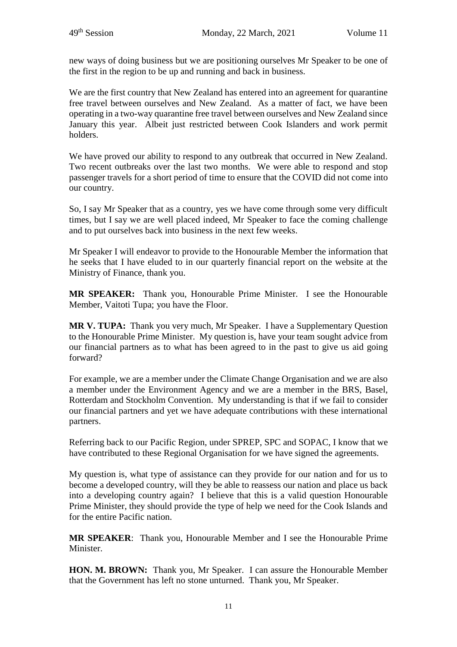new ways of doing business but we are positioning ourselves Mr Speaker to be one of the first in the region to be up and running and back in business.

We are the first country that New Zealand has entered into an agreement for quarantine free travel between ourselves and New Zealand. As a matter of fact, we have been operating in a two-way quarantine free travel between ourselves and New Zealand since January this year. Albeit just restricted between Cook Islanders and work permit holders.

We have proved our ability to respond to any outbreak that occurred in New Zealand. Two recent outbreaks over the last two months. We were able to respond and stop passenger travels for a short period of time to ensure that the COVID did not come into our country.

So, I say Mr Speaker that as a country, yes we have come through some very difficult times, but I say we are well placed indeed, Mr Speaker to face the coming challenge and to put ourselves back into business in the next few weeks.

Mr Speaker I will endeavor to provide to the Honourable Member the information that he seeks that I have eluded to in our quarterly financial report on the website at the Ministry of Finance, thank you.

**MR SPEAKER:** Thank you, Honourable Prime Minister. I see the Honourable Member, Vaitoti Tupa; you have the Floor.

**MR V. TUPA:** Thank you very much, Mr Speaker. I have a Supplementary Question to the Honourable Prime Minister. My question is, have your team sought advice from our financial partners as to what has been agreed to in the past to give us aid going forward?

For example, we are a member under the Climate Change Organisation and we are also a member under the Environment Agency and we are a member in the BRS, Basel, Rotterdam and Stockholm Convention. My understanding is that if we fail to consider our financial partners and yet we have adequate contributions with these international partners.

Referring back to our Pacific Region, under SPREP, SPC and SOPAC, I know that we have contributed to these Regional Organisation for we have signed the agreements.

My question is, what type of assistance can they provide for our nation and for us to become a developed country, will they be able to reassess our nation and place us back into a developing country again? I believe that this is a valid question Honourable Prime Minister, they should provide the type of help we need for the Cook Islands and for the entire Pacific nation.

**MR SPEAKER**: Thank you, Honourable Member and I see the Honourable Prime **Minister** 

**HON. M. BROWN:** Thank you, Mr Speaker. I can assure the Honourable Member that the Government has left no stone unturned. Thank you, Mr Speaker.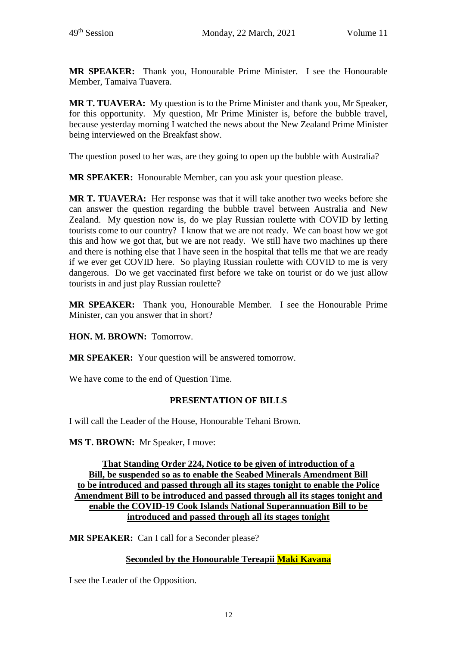**MR SPEAKER:** Thank you, Honourable Prime Minister. I see the Honourable Member, Tamaiva Tuavera.

**MR T. TUAVERA:** My question is to the Prime Minister and thank you, Mr Speaker, for this opportunity. My question, Mr Prime Minister is, before the bubble travel, because yesterday morning I watched the news about the New Zealand Prime Minister being interviewed on the Breakfast show.

The question posed to her was, are they going to open up the bubble with Australia?

**MR SPEAKER:** Honourable Member, can you ask your question please.

**MR T. TUAVERA:** Her response was that it will take another two weeks before she can answer the question regarding the bubble travel between Australia and New Zealand. My question now is, do we play Russian roulette with COVID by letting tourists come to our country? I know that we are not ready. We can boast how we got this and how we got that, but we are not ready. We still have two machines up there and there is nothing else that I have seen in the hospital that tells me that we are ready if we ever get COVID here. So playing Russian roulette with COVID to me is very dangerous. Do we get vaccinated first before we take on tourist or do we just allow tourists in and just play Russian roulette?

**MR SPEAKER:** Thank you, Honourable Member. I see the Honourable Prime Minister, can you answer that in short?

**HON. M. BROWN:** Tomorrow.

**MR SPEAKER:** Your question will be answered tomorrow.

We have come to the end of Question Time.

#### **PRESENTATION OF BILLS**

I will call the Leader of the House, Honourable Tehani Brown.

**MS T. BROWN:** Mr Speaker, I move:

**That Standing Order 224, Notice to be given of introduction of a Bill, be suspended so as to enable the Seabed Minerals Amendment Bill to be introduced and passed through all its stages tonight to enable the Police Amendment Bill to be introduced and passed through all its stages tonight and enable the COVID-19 Cook Islands National Superannuation Bill to be introduced and passed through all its stages tonight**

**MR SPEAKER:** Can I call for a Seconder please?

#### **Seconded by the Honourable Tereapii Maki Kavana**

I see the Leader of the Opposition.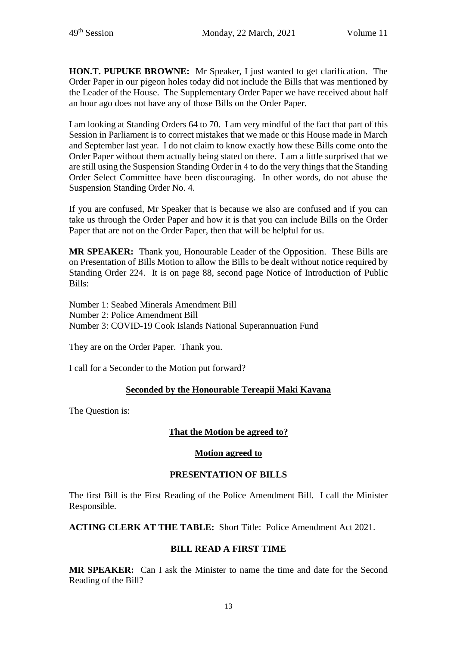**HON.T. PUPUKE BROWNE:** Mr Speaker, I just wanted to get clarification. The Order Paper in our pigeon holes today did not include the Bills that was mentioned by the Leader of the House. The Supplementary Order Paper we have received about half an hour ago does not have any of those Bills on the Order Paper.

I am looking at Standing Orders 64 to 70. I am very mindful of the fact that part of this Session in Parliament is to correct mistakes that we made or this House made in March and September last year. I do not claim to know exactly how these Bills come onto the Order Paper without them actually being stated on there. I am a little surprised that we are still using the Suspension Standing Order in 4 to do the very things that the Standing Order Select Committee have been discouraging. In other words, do not abuse the Suspension Standing Order No. 4.

If you are confused, Mr Speaker that is because we also are confused and if you can take us through the Order Paper and how it is that you can include Bills on the Order Paper that are not on the Order Paper, then that will be helpful for us.

**MR SPEAKER:** Thank you, Honourable Leader of the Opposition. These Bills are on Presentation of Bills Motion to allow the Bills to be dealt without notice required by Standing Order 224. It is on page 88, second page Notice of Introduction of Public Bills:

Number 1: Seabed Minerals Amendment Bill Number 2: Police Amendment Bill Number 3: COVID-19 Cook Islands National Superannuation Fund

They are on the Order Paper. Thank you.

I call for a Seconder to the Motion put forward?

#### **Seconded by the Honourable Tereapii Maki Kavana**

The Question is:

#### **That the Motion be agreed to?**

#### **Motion agreed to**

#### **PRESENTATION OF BILLS**

The first Bill is the First Reading of the Police Amendment Bill. I call the Minister Responsible.

**ACTING CLERK AT THE TABLE:** Short Title: Police Amendment Act 2021.

#### **BILL READ A FIRST TIME**

**MR SPEAKER:** Can I ask the Minister to name the time and date for the Second Reading of the Bill?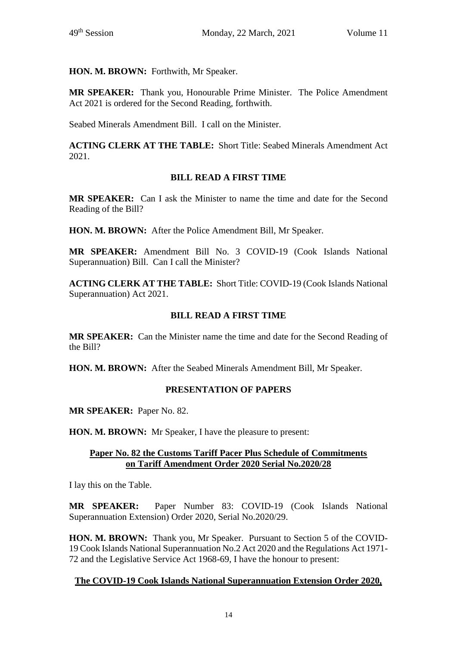**HON. M. BROWN:** Forthwith, Mr Speaker.

**MR SPEAKER:** Thank you, Honourable Prime Minister. The Police Amendment Act 2021 is ordered for the Second Reading, forthwith.

Seabed Minerals Amendment Bill. I call on the Minister.

**ACTING CLERK AT THE TABLE:** Short Title: Seabed Minerals Amendment Act 2021.

#### **BILL READ A FIRST TIME**

**MR SPEAKER:** Can I ask the Minister to name the time and date for the Second Reading of the Bill?

**HON. M. BROWN:** After the Police Amendment Bill, Mr Speaker.

**MR SPEAKER:** Amendment Bill No. 3 COVID-19 (Cook Islands National Superannuation) Bill. Can I call the Minister?

**ACTING CLERK AT THE TABLE:** Short Title: COVID-19 (Cook Islands National Superannuation) Act 2021.

#### **BILL READ A FIRST TIME**

**MR SPEAKER:** Can the Minister name the time and date for the Second Reading of the Bill?

**HON. M. BROWN:** After the Seabed Minerals Amendment Bill, Mr Speaker.

#### **PRESENTATION OF PAPERS**

**MR SPEAKER:** Paper No. 82.

**HON. M. BROWN:** Mr Speaker, I have the pleasure to present:

#### **Paper No. 82 the Customs Tariff Pacer Plus Schedule of Commitments on Tariff Amendment Order 2020 Serial No.2020/28**

I lay this on the Table.

**MR SPEAKER:** Paper Number 83: COVID-19 (Cook Islands National Superannuation Extension) Order 2020, Serial No.2020/29.

**HON. M. BROWN:** Thank you, Mr Speaker. Pursuant to Section 5 of the COVID-19 Cook Islands National Superannuation No.2 Act 2020 and the Regulations Act 1971- 72 and the Legislative Service Act 1968-69, I have the honour to present:

#### **The COVID-19 Cook Islands National Superannuation Extension Order 2020,**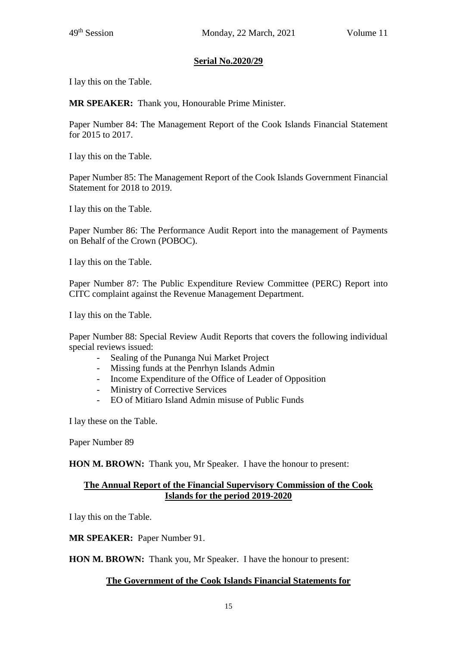### **Serial No.2020/29**

I lay this on the Table.

**MR SPEAKER:** Thank you, Honourable Prime Minister.

Paper Number 84: The Management Report of the Cook Islands Financial Statement for 2015 to 2017.

I lay this on the Table.

Paper Number 85: The Management Report of the Cook Islands Government Financial Statement for 2018 to 2019.

I lay this on the Table.

Paper Number 86: The Performance Audit Report into the management of Payments on Behalf of the Crown (POBOC).

I lay this on the Table.

Paper Number 87: The Public Expenditure Review Committee (PERC) Report into CITC complaint against the Revenue Management Department.

I lay this on the Table.

Paper Number 88: Special Review Audit Reports that covers the following individual special reviews issued:

- Sealing of the Punanga Nui Market Project
- Missing funds at the Penrhyn Islands Admin
- Income Expenditure of the Office of Leader of Opposition
- Ministry of Corrective Services
- EO of Mitiaro Island Admin misuse of Public Funds

I lay these on the Table.

Paper Number 89

**HON M. BROWN:** Thank you, Mr Speaker. I have the honour to present:

#### **The Annual Report of the Financial Supervisory Commission of the Cook Islands for the period 2019-2020**

I lay this on the Table.

**MR SPEAKER:** Paper Number 91.

**HON M. BROWN:** Thank you, Mr Speaker. I have the honour to present:

#### **The Government of the Cook Islands Financial Statements for**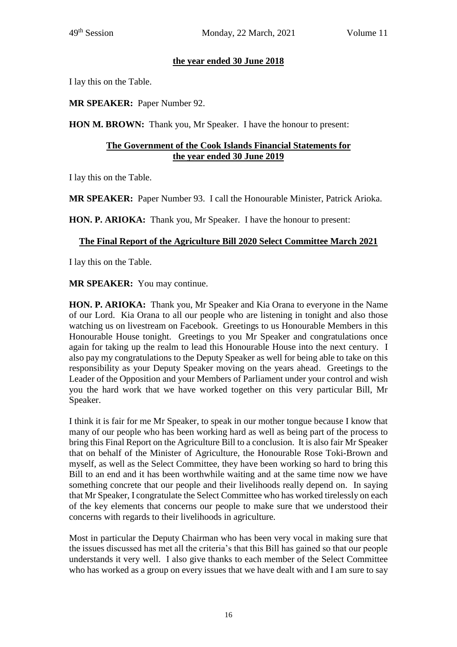### **the year ended 30 June 2018**

I lay this on the Table.

**MR SPEAKER:** Paper Number 92.

**HON M. BROWN:** Thank you, Mr Speaker. I have the honour to present:

# **The Government of the Cook Islands Financial Statements for the year ended 30 June 2019**

I lay this on the Table.

**MR SPEAKER:** Paper Number 93. I call the Honourable Minister, Patrick Arioka.

**HON. P. ARIOKA:** Thank you, Mr Speaker. I have the honour to present:

# **The Final Report of the Agriculture Bill 2020 Select Committee March 2021**

I lay this on the Table.

**MR SPEAKER:** You may continue.

**HON. P. ARIOKA:** Thank you, Mr Speaker and Kia Orana to everyone in the Name of our Lord. Kia Orana to all our people who are listening in tonight and also those watching us on livestream on Facebook. Greetings to us Honourable Members in this Honourable House tonight. Greetings to you Mr Speaker and congratulations once again for taking up the realm to lead this Honourable House into the next century. I also pay my congratulations to the Deputy Speaker as well for being able to take on this responsibility as your Deputy Speaker moving on the years ahead. Greetings to the Leader of the Opposition and your Members of Parliament under your control and wish you the hard work that we have worked together on this very particular Bill, Mr Speaker.

I think it is fair for me Mr Speaker, to speak in our mother tongue because I know that many of our people who has been working hard as well as being part of the process to bring this Final Report on the Agriculture Bill to a conclusion. It is also fair Mr Speaker that on behalf of the Minister of Agriculture, the Honourable Rose Toki-Brown and myself, as well as the Select Committee, they have been working so hard to bring this Bill to an end and it has been worthwhile waiting and at the same time now we have something concrete that our people and their livelihoods really depend on. In saying that Mr Speaker, I congratulate the Select Committee who has worked tirelessly on each of the key elements that concerns our people to make sure that we understood their concerns with regards to their livelihoods in agriculture.

Most in particular the Deputy Chairman who has been very vocal in making sure that the issues discussed has met all the criteria's that this Bill has gained so that our people understands it very well. I also give thanks to each member of the Select Committee who has worked as a group on every issues that we have dealt with and I am sure to say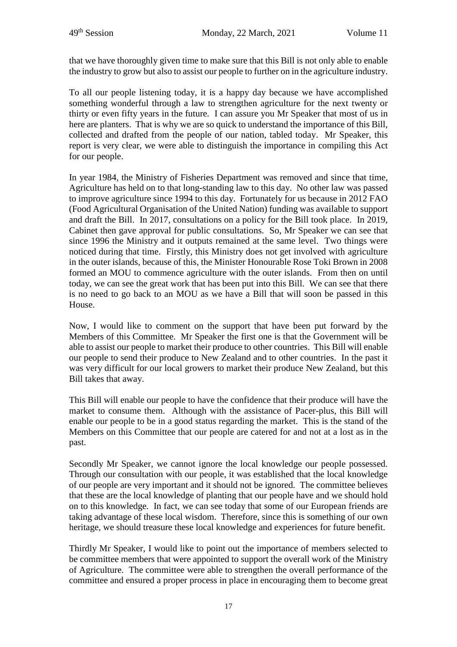that we have thoroughly given time to make sure that this Bill is not only able to enable the industry to grow but also to assist our people to further on in the agriculture industry.

To all our people listening today, it is a happy day because we have accomplished something wonderful through a law to strengthen agriculture for the next twenty or thirty or even fifty years in the future. I can assure you Mr Speaker that most of us in here are planters. That is why we are so quick to understand the importance of this Bill, collected and drafted from the people of our nation, tabled today. Mr Speaker, this report is very clear, we were able to distinguish the importance in compiling this Act for our people.

In year 1984, the Ministry of Fisheries Department was removed and since that time, Agriculture has held on to that long-standing law to this day. No other law was passed to improve agriculture since 1994 to this day. Fortunately for us because in 2012 FAO (Food Agricultural Organisation of the United Nation) funding was available to support and draft the Bill. In 2017, consultations on a policy for the Bill took place. In 2019, Cabinet then gave approval for public consultations. So, Mr Speaker we can see that since 1996 the Ministry and it outputs remained at the same level. Two things were noticed during that time. Firstly, this Ministry does not get involved with agriculture in the outer islands, because of this, the Minister Honourable Rose Toki Brown in 2008 formed an MOU to commence agriculture with the outer islands. From then on until today, we can see the great work that has been put into this Bill. We can see that there is no need to go back to an MOU as we have a Bill that will soon be passed in this House.

Now, I would like to comment on the support that have been put forward by the Members of this Committee. Mr Speaker the first one is that the Government will be able to assist our people to market their produce to other countries. This Bill will enable our people to send their produce to New Zealand and to other countries. In the past it was very difficult for our local growers to market their produce New Zealand, but this Bill takes that away.

This Bill will enable our people to have the confidence that their produce will have the market to consume them. Although with the assistance of Pacer-plus, this Bill will enable our people to be in a good status regarding the market. This is the stand of the Members on this Committee that our people are catered for and not at a lost as in the past.

Secondly Mr Speaker, we cannot ignore the local knowledge our people possessed. Through our consultation with our people, it was established that the local knowledge of our people are very important and it should not be ignored. The committee believes that these are the local knowledge of planting that our people have and we should hold on to this knowledge. In fact, we can see today that some of our European friends are taking advantage of these local wisdom. Therefore, since this is something of our own heritage, we should treasure these local knowledge and experiences for future benefit.

Thirdly Mr Speaker, I would like to point out the importance of members selected to be committee members that were appointed to support the overall work of the Ministry of Agriculture. The committee were able to strengthen the overall performance of the committee and ensured a proper process in place in encouraging them to become great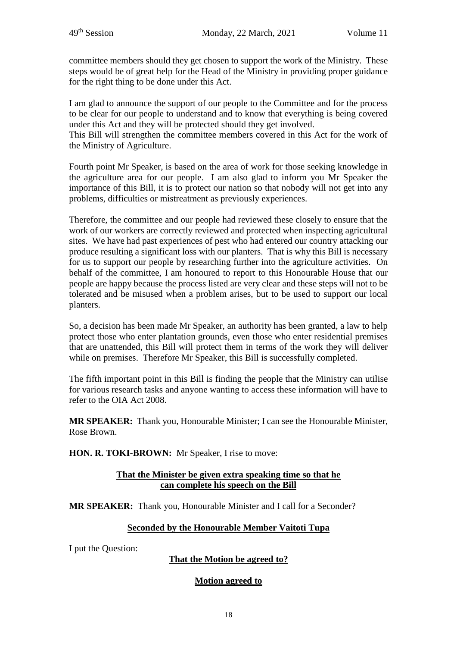committee members should they get chosen to support the work of the Ministry. These steps would be of great help for the Head of the Ministry in providing proper guidance for the right thing to be done under this Act.

I am glad to announce the support of our people to the Committee and for the process to be clear for our people to understand and to know that everything is being covered under this Act and they will be protected should they get involved.

This Bill will strengthen the committee members covered in this Act for the work of the Ministry of Agriculture.

Fourth point Mr Speaker, is based on the area of work for those seeking knowledge in the agriculture area for our people. I am also glad to inform you Mr Speaker the importance of this Bill, it is to protect our nation so that nobody will not get into any problems, difficulties or mistreatment as previously experiences.

Therefore, the committee and our people had reviewed these closely to ensure that the work of our workers are correctly reviewed and protected when inspecting agricultural sites. We have had past experiences of pest who had entered our country attacking our produce resulting a significant loss with our planters. That is why this Bill is necessary for us to support our people by researching further into the agriculture activities. On behalf of the committee, I am honoured to report to this Honourable House that our people are happy because the process listed are very clear and these steps will not to be tolerated and be misused when a problem arises, but to be used to support our local planters.

So, a decision has been made Mr Speaker, an authority has been granted, a law to help protect those who enter plantation grounds, even those who enter residential premises that are unattended, this Bill will protect them in terms of the work they will deliver while on premises. Therefore Mr Speaker, this Bill is successfully completed.

The fifth important point in this Bill is finding the people that the Ministry can utilise for various research tasks and anyone wanting to access these information will have to refer to the OIA Act 2008.

**MR SPEAKER:** Thank you, Honourable Minister; I can see the Honourable Minister, Rose Brown.

**HON. R. TOKI-BROWN:** Mr Speaker, I rise to move:

#### **That the Minister be given extra speaking time so that he can complete his speech on the Bill**

**MR SPEAKER:** Thank you, Honourable Minister and I call for a Seconder?

#### **Seconded by the Honourable Member Vaitoti Tupa**

I put the Question:

#### **That the Motion be agreed to?**

#### **Motion agreed to**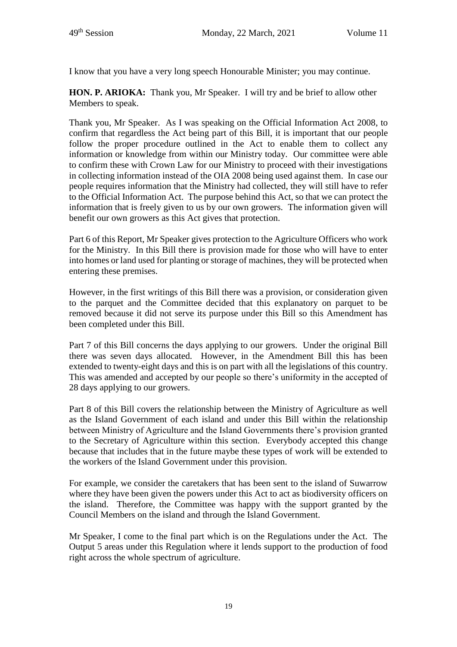I know that you have a very long speech Honourable Minister; you may continue.

**HON. P. ARIOKA:** Thank you, Mr Speaker. I will try and be brief to allow other Members to speak.

Thank you, Mr Speaker. As I was speaking on the Official Information Act 2008, to confirm that regardless the Act being part of this Bill, it is important that our people follow the proper procedure outlined in the Act to enable them to collect any information or knowledge from within our Ministry today. Our committee were able to confirm these with Crown Law for our Ministry to proceed with their investigations in collecting information instead of the OIA 2008 being used against them. In case our people requires information that the Ministry had collected, they will still have to refer to the Official Information Act. The purpose behind this Act, so that we can protect the information that is freely given to us by our own growers. The information given will benefit our own growers as this Act gives that protection.

Part 6 of this Report, Mr Speaker gives protection to the Agriculture Officers who work for the Ministry. In this Bill there is provision made for those who will have to enter into homes or land used for planting or storage of machines, they will be protected when entering these premises.

However, in the first writings of this Bill there was a provision, or consideration given to the parquet and the Committee decided that this explanatory on parquet to be removed because it did not serve its purpose under this Bill so this Amendment has been completed under this Bill.

Part 7 of this Bill concerns the days applying to our growers. Under the original Bill there was seven days allocated. However, in the Amendment Bill this has been extended to twenty-eight days and this is on part with all the legislations of this country. This was amended and accepted by our people so there's uniformity in the accepted of 28 days applying to our growers.

Part 8 of this Bill covers the relationship between the Ministry of Agriculture as well as the Island Government of each island and under this Bill within the relationship between Ministry of Agriculture and the Island Governments there's provision granted to the Secretary of Agriculture within this section. Everybody accepted this change because that includes that in the future maybe these types of work will be extended to the workers of the Island Government under this provision.

For example, we consider the caretakers that has been sent to the island of Suwarrow where they have been given the powers under this Act to act as biodiversity officers on the island. Therefore, the Committee was happy with the support granted by the Council Members on the island and through the Island Government.

Mr Speaker, I come to the final part which is on the Regulations under the Act. The Output 5 areas under this Regulation where it lends support to the production of food right across the whole spectrum of agriculture.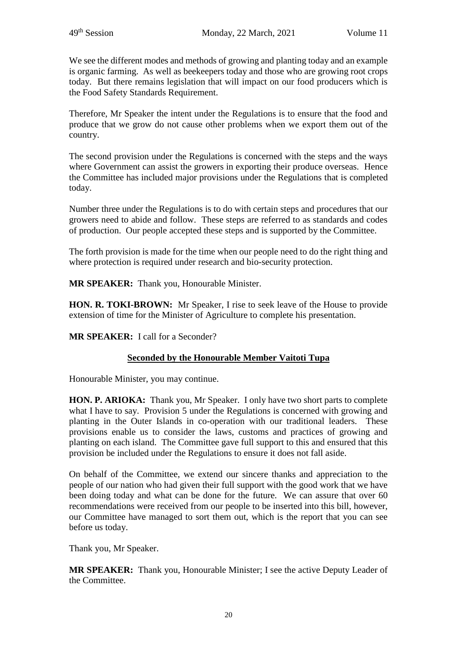We see the different modes and methods of growing and planting today and an example is organic farming. As well as beekeepers today and those who are growing root crops today. But there remains legislation that will impact on our food producers which is the Food Safety Standards Requirement.

Therefore, Mr Speaker the intent under the Regulations is to ensure that the food and produce that we grow do not cause other problems when we export them out of the country.

The second provision under the Regulations is concerned with the steps and the ways where Government can assist the growers in exporting their produce overseas. Hence the Committee has included major provisions under the Regulations that is completed today.

Number three under the Regulations is to do with certain steps and procedures that our growers need to abide and follow. These steps are referred to as standards and codes of production. Our people accepted these steps and is supported by the Committee.

The forth provision is made for the time when our people need to do the right thing and where protection is required under research and bio-security protection.

**MR SPEAKER:** Thank you, Honourable Minister.

**HON. R. TOKI-BROWN:** Mr Speaker, I rise to seek leave of the House to provide extension of time for the Minister of Agriculture to complete his presentation.

**MR SPEAKER:** I call for a Seconder?

#### **Seconded by the Honourable Member Vaitoti Tupa**

Honourable Minister, you may continue.

**HON. P. ARIOKA:** Thank you, Mr Speaker. I only have two short parts to complete what I have to say. Provision 5 under the Regulations is concerned with growing and planting in the Outer Islands in co-operation with our traditional leaders. These provisions enable us to consider the laws, customs and practices of growing and planting on each island. The Committee gave full support to this and ensured that this provision be included under the Regulations to ensure it does not fall aside.

On behalf of the Committee, we extend our sincere thanks and appreciation to the people of our nation who had given their full support with the good work that we have been doing today and what can be done for the future. We can assure that over 60 recommendations were received from our people to be inserted into this bill, however, our Committee have managed to sort them out, which is the report that you can see before us today.

Thank you, Mr Speaker.

**MR SPEAKER:** Thank you, Honourable Minister; I see the active Deputy Leader of the Committee.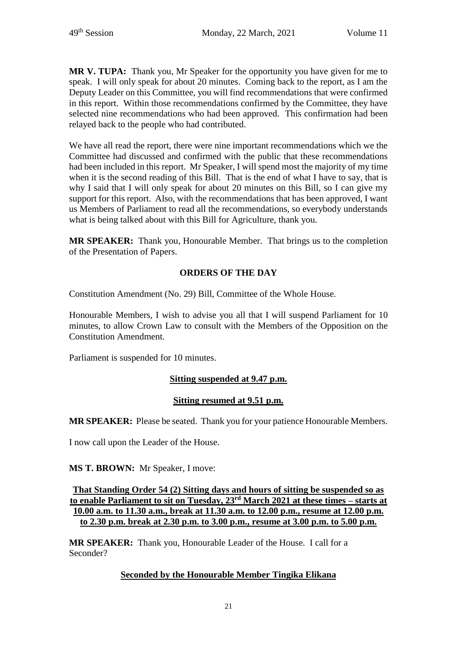**MR V. TUPA:** Thank you, Mr Speaker for the opportunity you have given for me to speak. I will only speak for about 20 minutes. Coming back to the report, as I am the Deputy Leader on this Committee, you will find recommendations that were confirmed in this report. Within those recommendations confirmed by the Committee, they have selected nine recommendations who had been approved. This confirmation had been relayed back to the people who had contributed.

We have all read the report, there were nine important recommendations which we the Committee had discussed and confirmed with the public that these recommendations had been included in this report. Mr Speaker, I will spend most the majority of my time when it is the second reading of this Bill. That is the end of what I have to say, that is why I said that I will only speak for about 20 minutes on this Bill, so I can give my support for this report. Also, with the recommendations that has been approved, I want us Members of Parliament to read all the recommendations, so everybody understands what is being talked about with this Bill for Agriculture, thank you.

**MR SPEAKER:** Thank you, Honourable Member. That brings us to the completion of the Presentation of Papers.

# **ORDERS OF THE DAY**

Constitution Amendment (No. 29) Bill, Committee of the Whole House.

Honourable Members, I wish to advise you all that I will suspend Parliament for 10 minutes, to allow Crown Law to consult with the Members of the Opposition on the Constitution Amendment.

Parliament is suspended for 10 minutes.

# **Sitting suspended at 9.47 p.m.**

#### **Sitting resumed at 9.51 p.m.**

**MR SPEAKER:** Please be seated. Thank you for your patience Honourable Members.

I now call upon the Leader of the House.

**MS T. BROWN:** Mr Speaker, I move:

**That Standing Order 54 (2) Sitting days and hours of sitting be suspended so as to enable Parliament to sit on Tuesday, 23rd March 2021 at these times – starts at 10.00 a.m. to 11.30 a.m., break at 11.30 a.m. to 12.00 p.m., resume at 12.00 p.m. to 2.30 p.m. break at 2.30 p.m. to 3.00 p.m., resume at 3.00 p.m. to 5.00 p.m.**

**MR SPEAKER:** Thank you, Honourable Leader of the House. I call for a Seconder?

#### **Seconded by the Honourable Member Tingika Elikana**